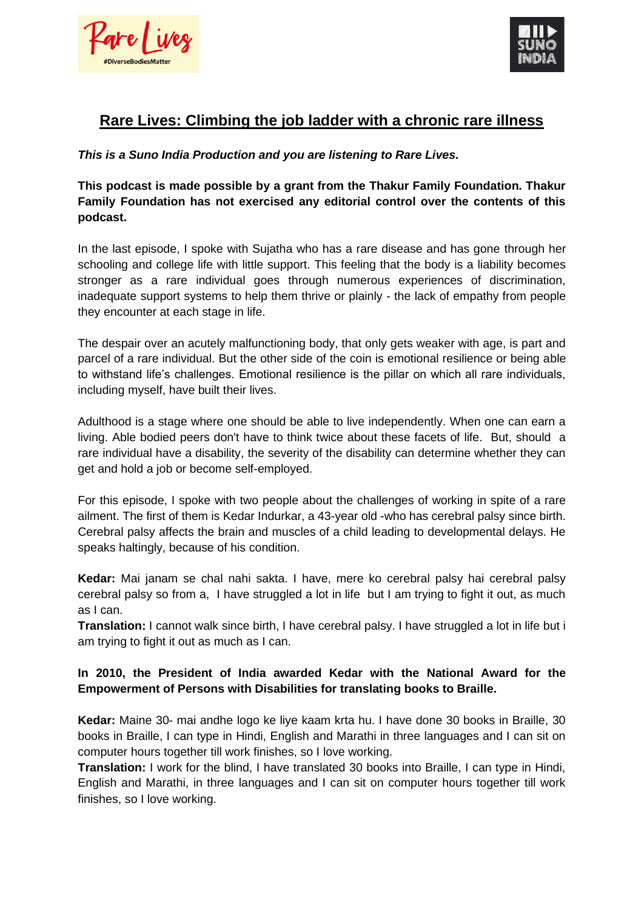rre l'i



# **Rare Lives: Climbing the job ladder with a chronic rare illness**

# *This is a Suno India Production and you are listening to Rare Lives.*

**This podcast is made possible by a grant from the Thakur Family Foundation. Thakur Family Foundation has not exercised any editorial control over the contents of this podcast.** 

In the last episode, I spoke with Sujatha who has a rare disease and has gone through her schooling and college life with little support. This feeling that the body is a liability becomes stronger as a rare individual goes through numerous experiences of discrimination, inadequate support systems to help them thrive or plainly - the lack of empathy from people they encounter at each stage in life.

The despair over an acutely malfunctioning body, that only gets weaker with age, is part and parcel of a rare individual. But the other side of the coin is emotional resilience or being able to withstand life's challenges. Emotional resilience is the pillar on which all rare individuals, including myself, have built their lives.

Adulthood is a stage where one should be able to live independently. When one can earn a living. Able bodied peers don't have to think twice about these facets of life. But, should a rare individual have a disability, the severity of the disability can determine whether they can get and hold a job or become self-employed.

For this episode, I spoke with two people about the challenges of working in spite of a rare ailment. The first of them is Kedar Indurkar, a 43-year old -who has cerebral palsy since birth. Cerebral palsy affects the brain and muscles of a child leading to developmental delays. He speaks haltingly, because of his condition.

**Kedar:** Mai janam se chal nahi sakta. I have, mere ko cerebral palsy hai cerebral palsy cerebral palsy so from a, I have struggled a lot in life but I am trying to fight it out, as much as I can.

**Translation:** I cannot walk since birth, I have cerebral palsy. I have struggled a lot in life but i am trying to fight it out as much as I can.

## **In 2010, the President of India awarded Kedar with the National Award for the Empowerment of Persons with Disabilities for translating books to Braille.**

**Kedar:** Maine 30- mai andhe logo ke liye kaam krta hu. I have done 30 books in Braille, 30 books in Braille, I can type in Hindi, English and Marathi in three languages and I can sit on computer hours together till work finishes, so I love working.

**Translation:** I work for the blind, I have translated 30 books into Braille, I can type in Hindi, English and Marathi, in three languages and I can sit on computer hours together till work finishes, so I love working.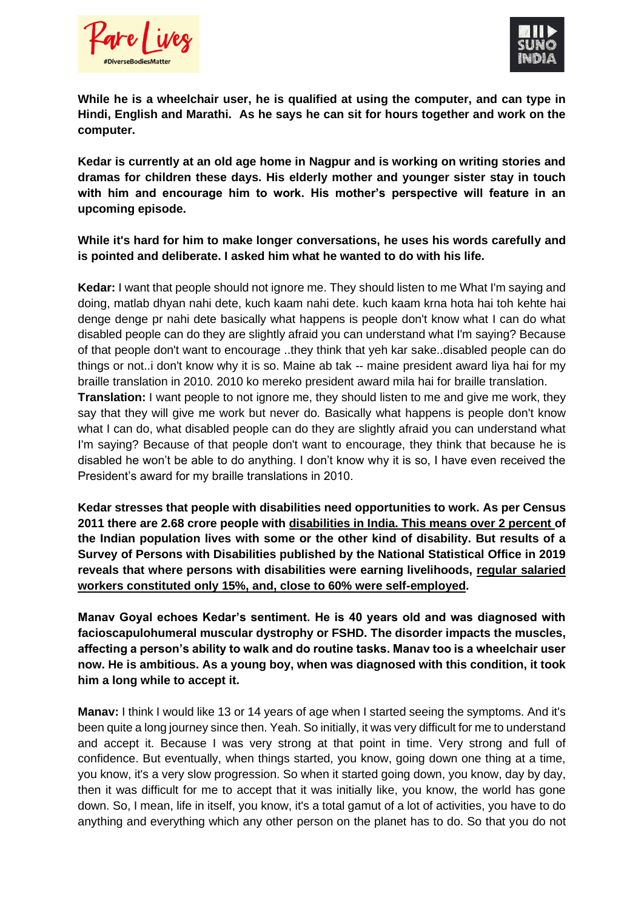



**While he is a wheelchair user, he is qualified at using the computer, and can type in Hindi, English and Marathi. As he says he can sit for hours together and work on the computer.** 

**Kedar is currently at an old age home in Nagpur and is working on writing stories and dramas for children these days. His elderly mother and younger sister stay in touch with him and encourage him to work. His mother's perspective will feature in an upcoming episode.** 

**While it's hard for him to make longer conversations, he uses his words carefully and is pointed and deliberate. I asked him what he wanted to do with his life.** 

**Kedar:** I want that people should not ignore me. They should listen to me What I'm saying and doing, matlab dhyan nahi dete, kuch kaam nahi dete. kuch kaam krna hota hai toh kehte hai denge denge pr nahi dete basically what happens is people don't know what I can do what disabled people can do they are slightly afraid you can understand what I'm saying? Because of that people don't want to encourage ..they think that yeh kar sake..disabled people can do things or not..i don't know why it is so. Maine ab tak -- maine president award liya hai for my braille translation in 2010. 2010 ko mereko president award mila hai for braille translation. **Translation:** I want people to not ignore me, they should listen to me and give me work, they say that they will give me work but never do. Basically what happens is people don't know what I can do, what disabled people can do they are slightly afraid you can understand what I'm saying? Because of that people don't want to encourage, they think that because he is disabled he won't be able to do anything. I don't know why it is so, I have even received the

**Kedar stresses that people with disabilities need opportunities to work. As per Census 2011 there are 2.68 crore people with [disabilities in India. This means over 2 percent o](http://disabilityaffairs.gov.in/content/)f the Indian population lives with some or the other kind of disability. But results of a Survey of Persons with Disabilities published by the National Statistical Office in 2019 reveals that where persons with disabilities were earning livelihoods, [regular salaried](http://mospi.nic.in/sites/default/files/publication_reports/Report_583_Final_0.pdf)  [workers constituted only 15%, and, close to 60% were self-employed.](http://mospi.nic.in/sites/default/files/publication_reports/Report_583_Final_0.pdf)** 

President's award for my braille translations in 2010.

**Manav Goyal echoes Kedar's sentiment. He is 40 years old and was diagnosed with facioscapulohumeral muscular dystrophy or FSHD. The disorder impacts the muscles, affecting a person's ability to walk and do routine tasks. Manav too is a wheelchair user now. He is ambitious. As a young boy, when was diagnosed with this condition, it took him a long while to accept it.** 

**Manav:** I think I would like 13 or 14 years of age when I started seeing the symptoms. And it's been quite a long journey since then. Yeah. So initially, it was very difficult for me to understand and accept it. Because I was very strong at that point in time. Very strong and full of confidence. But eventually, when things started, you know, going down one thing at a time, you know, it's a very slow progression. So when it started going down, you know, day by day, then it was difficult for me to accept that it was initially like, you know, the world has gone down. So, I mean, life in itself, you know, it's a total gamut of a lot of activities, you have to do anything and everything which any other person on the planet has to do. So that you do not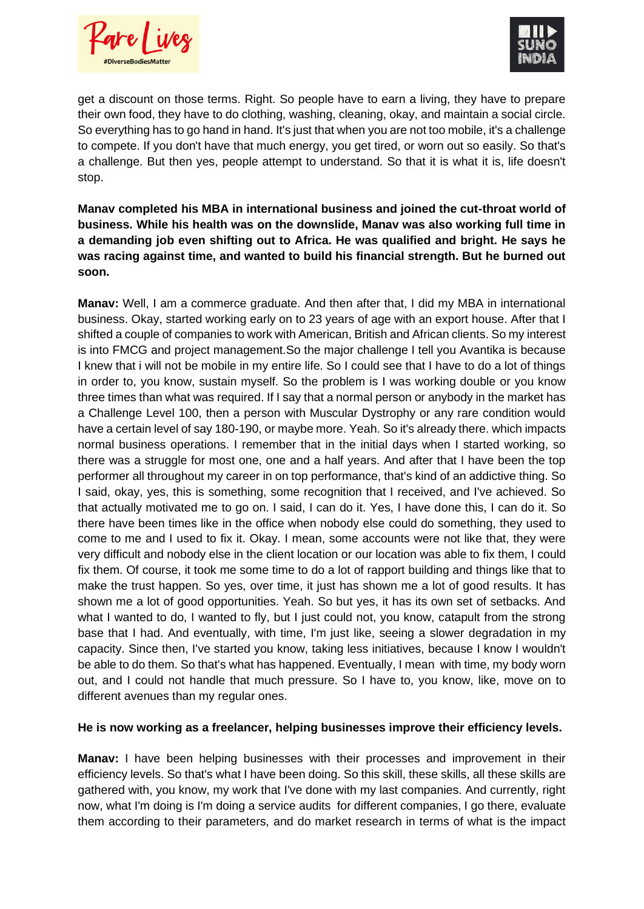Kare l'ives



get a discount on those terms. Right. So people have to earn a living, they have to prepare their own food, they have to do clothing, washing, cleaning, okay, and maintain a social circle. So everything has to go hand in hand. It's just that when you are not too mobile, it's a challenge to compete. If you don't have that much energy, you get tired, or worn out so easily. So that's a challenge. But then yes, people attempt to understand. So that it is what it is, life doesn't stop.

**Manav completed his MBA in international business and joined the cut-throat world of business. While his health was on the downslide, Manav was also working full time in a demanding job even shifting out to Africa. He was qualified and bright. He says he was racing against time, and wanted to build his financial strength. But he burned out soon.** 

**Manav:** Well, I am a commerce graduate. And then after that, I did my MBA in international business. Okay, started working early on to 23 years of age with an export house. After that I shifted a couple of companies to work with American, British and African clients. So my interest is into FMCG and project management.So the major challenge I tell you Avantika is because I knew that i will not be mobile in my entire life. So I could see that I have to do a lot of things in order to, you know, sustain myself. So the problem is I was working double or you know three times than what was required. If I say that a normal person or anybody in the market has a Challenge Level 100, then a person with Muscular Dystrophy or any rare condition would have a certain level of say 180-190, or maybe more. Yeah. So it's already there. which impacts normal business operations. I remember that in the initial days when I started working, so there was a struggle for most one, one and a half years. And after that I have been the top performer all throughout my career in on top performance, that's kind of an addictive thing. So I said, okay, yes, this is something, some recognition that I received, and I've achieved. So that actually motivated me to go on. I said, I can do it. Yes, I have done this, I can do it. So there have been times like in the office when nobody else could do something, they used to come to me and I used to fix it. Okay. I mean, some accounts were not like that, they were very difficult and nobody else in the client location or our location was able to fix them, I could fix them. Of course, it took me some time to do a lot of rapport building and things like that to make the trust happen. So yes, over time, it just has shown me a lot of good results. It has shown me a lot of good opportunities. Yeah. So but yes, it has its own set of setbacks. And what I wanted to do, I wanted to fly, but I just could not, you know, catapult from the strong base that I had. And eventually, with time, I'm just like, seeing a slower degradation in my capacity. Since then, I've started you know, taking less initiatives, because I know I wouldn't be able to do them. So that's what has happened. Eventually, I mean with time, my body worn out, and I could not handle that much pressure. So I have to, you know, like, move on to different avenues than my regular ones.

#### **He is now working as a freelancer, helping businesses improve their efficiency levels.**

**Manav:** I have been helping businesses with their processes and improvement in their efficiency levels. So that's what I have been doing. So this skill, these skills, all these skills are gathered with, you know, my work that I've done with my last companies. And currently, right now, what I'm doing is I'm doing a service audits for different companies, I go there, evaluate them according to their parameters, and do market research in terms of what is the impact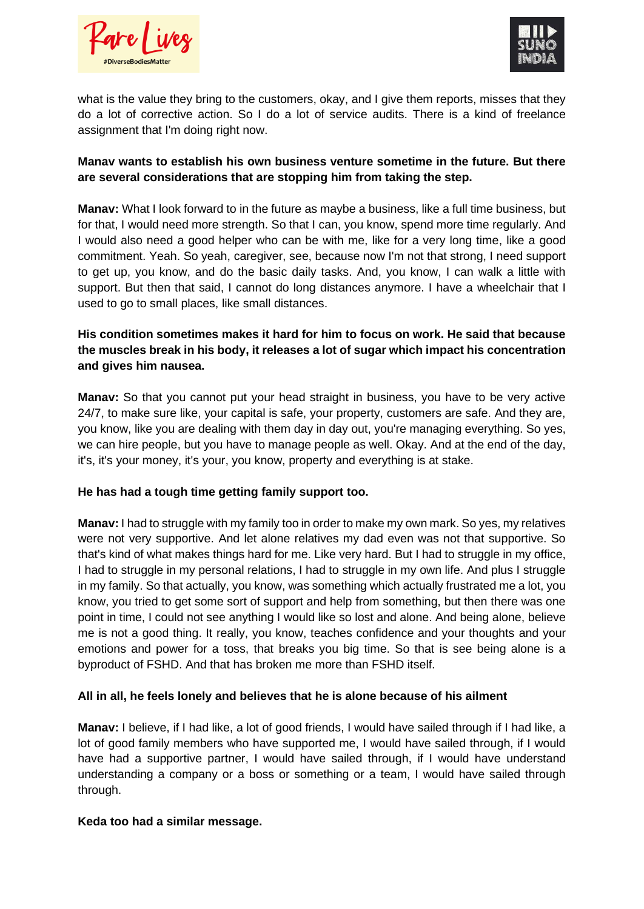



what is the value they bring to the customers, okay, and I give them reports, misses that they do a lot of corrective action. So I do a lot of service audits. There is a kind of freelance assignment that I'm doing right now.

#### **Manav wants to establish his own business venture sometime in the future. But there are several considerations that are stopping him from taking the step.**

**Manav:** What I look forward to in the future as maybe a business, like a full time business, but for that, I would need more strength. So that I can, you know, spend more time regularly. And I would also need a good helper who can be with me, like for a very long time, like a good commitment. Yeah. So yeah, caregiver, see, because now I'm not that strong, I need support to get up, you know, and do the basic daily tasks. And, you know, I can walk a little with support. But then that said, I cannot do long distances anymore. I have a wheelchair that I used to go to small places, like small distances.

# **His condition sometimes makes it hard for him to focus on work. He said that because the muscles break in his body, it releases a lot of sugar which impact his concentration and gives him nausea.**

**Manav:** So that you cannot put your head straight in business, you have to be very active 24/7, to make sure like, your capital is safe, your property, customers are safe. And they are, you know, like you are dealing with them day in day out, you're managing everything. So yes, we can hire people, but you have to manage people as well. Okay. And at the end of the day, it's, it's your money, it's your, you know, property and everything is at stake.

## **He has had a tough time getting family support too.**

**Manav:** I had to struggle with my family too in order to make my own mark. So yes, my relatives were not very supportive. And let alone relatives my dad even was not that supportive. So that's kind of what makes things hard for me. Like very hard. But I had to struggle in my office, I had to struggle in my personal relations, I had to struggle in my own life. And plus I struggle in my family. So that actually, you know, was something which actually frustrated me a lot, you know, you tried to get some sort of support and help from something, but then there was one point in time, I could not see anything I would like so lost and alone. And being alone, believe me is not a good thing. It really, you know, teaches confidence and your thoughts and your emotions and power for a toss, that breaks you big time. So that is see being alone is a byproduct of FSHD. And that has broken me more than FSHD itself.

## **All in all, he feels lonely and believes that he is alone because of his ailment**

**Manav:** I believe, if I had like, a lot of good friends, I would have sailed through if I had like, a lot of good family members who have supported me, I would have sailed through, if I would have had a supportive partner, I would have sailed through, if I would have understand understanding a company or a boss or something or a team, I would have sailed through through.

#### **Keda too had a similar message.**